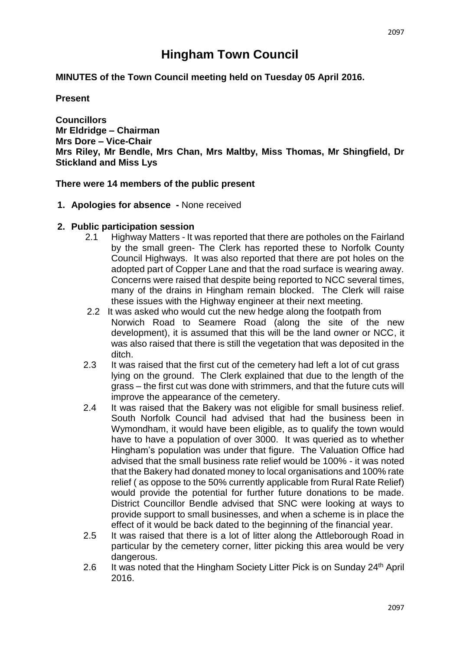### **Hingham Town Council**

#### **MINUTES of the Town Council meeting held on Tuesday 05 April 2016.**

**Present**

**Councillors Mr Eldridge – Chairman Mrs Dore – Vice-Chair Mrs Riley, Mr Bendle, Mrs Chan, Mrs Maltby, Miss Thomas, Mr Shingfield, Dr Stickland and Miss Lys**

#### **There were 14 members of the public present**

- **1. Apologies for absence -** None received
- **2. Public participation session** 
	- 2.1 Highway Matters It was reported that there are potholes on the Fairland by the small green- The Clerk has reported these to Norfolk County Council Highways. It was also reported that there are pot holes on the adopted part of Copper Lane and that the road surface is wearing away. Concerns were raised that despite being reported to NCC several times, many of the drains in Hingham remain blocked. The Clerk will raise these issues with the Highway engineer at their next meeting.
	- 2.2 It was asked who would cut the new hedge along the footpath from Norwich Road to Seamere Road (along the site of the new development), it is assumed that this will be the land owner or NCC, it was also raised that there is still the vegetation that was deposited in the ditch.
	- 2.3 It was raised that the first cut of the cemetery had left a lot of cut grass lying on the ground. The Clerk explained that due to the length of the grass – the first cut was done with strimmers, and that the future cuts will improve the appearance of the cemetery.
	- 2.4 It was raised that the Bakery was not eligible for small business relief. South Norfolk Council had advised that had the business been in Wymondham, it would have been eligible, as to qualify the town would have to have a population of over 3000. It was queried as to whether Hingham's population was under that figure. The Valuation Office had advised that the small business rate relief would be 100% - it was noted that the Bakery had donated money to local organisations and 100% rate relief ( as oppose to the 50% currently applicable from Rural Rate Relief) would provide the potential for further future donations to be made. District Councillor Bendle advised that SNC were looking at ways to provide support to small businesses, and when a scheme is in place the effect of it would be back dated to the beginning of the financial year.
	- 2.5 It was raised that there is a lot of litter along the Attleborough Road in particular by the cemetery corner, litter picking this area would be very dangerous.
	- 2.6 It was noted that the Hingham Society Litter Pick is on Sunday 24<sup>th</sup> April 2016.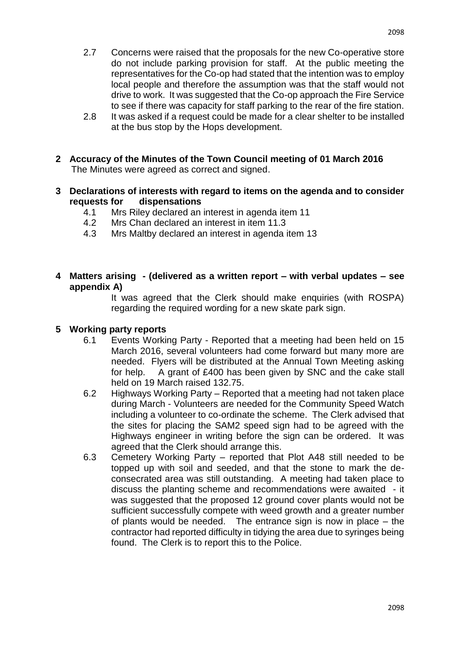- 2.7 Concerns were raised that the proposals for the new Co-operative store do not include parking provision for staff. At the public meeting the representatives for the Co-op had stated that the intention was to employ local people and therefore the assumption was that the staff would not drive to work. It was suggested that the Co-op approach the Fire Service to see if there was capacity for staff parking to the rear of the fire station.
- 2.8 It was asked if a request could be made for a clear shelter to be installed at the bus stop by the Hops development.
- **2 Accuracy of the Minutes of the Town Council meeting of 01 March 2016** The Minutes were agreed as correct and signed.
- **3 Declarations of interests with regard to items on the agenda and to consider requests for dispensations**
	- 4.1 Mrs Riley declared an interest in agenda item 11
	- 4.2 Mrs Chan declared an interest in item 11.3
	- 4.3 Mrs Maltby declared an interest in agenda item 13
- **4 Matters arising - (delivered as a written report – with verbal updates – see appendix A)**

It was agreed that the Clerk should make enquiries (with ROSPA) regarding the required wording for a new skate park sign.

#### **5 Working party reports**

- 6.1 Events Working Party Reported that a meeting had been held on 15 March 2016, several volunteers had come forward but many more are needed. Flyers will be distributed at the Annual Town Meeting asking for help. A grant of £400 has been given by SNC and the cake stall held on 19 March raised 132.75.
- 6.2 Highways Working Party Reported that a meeting had not taken place during March - Volunteers are needed for the Community Speed Watch including a volunteer to co-ordinate the scheme. The Clerk advised that the sites for placing the SAM2 speed sign had to be agreed with the Highways engineer in writing before the sign can be ordered. It was agreed that the Clerk should arrange this.
- 6.3 Cemetery Working Party reported that Plot A48 still needed to be topped up with soil and seeded, and that the stone to mark the deconsecrated area was still outstanding. A meeting had taken place to discuss the planting scheme and recommendations were awaited - it was suggested that the proposed 12 ground cover plants would not be sufficient successfully compete with weed growth and a greater number of plants would be needed. The entrance sign is now in place – the contractor had reported difficulty in tidying the area due to syringes being found. The Clerk is to report this to the Police.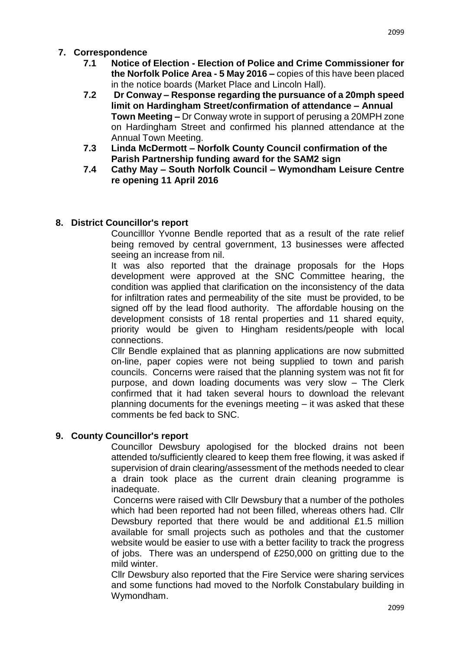- **7.1 Notice of Election - Election of Police and Crime Commissioner for the Norfolk Police Area - 5 May 2016 –** copies of this have been placed in the notice boards (Market Place and Lincoln Hall).
- **7.2 Dr Conway – Response regarding the pursuance of a 20mph speed limit on Hardingham Street/confirmation of attendance – Annual Town Meeting –** Dr Conway wrote in support of perusing a 20MPH zone on Hardingham Street and confirmed his planned attendance at the Annual Town Meeting.
- **7.3 Linda McDermott – Norfolk County Council confirmation of the Parish Partnership funding award for the SAM2 sign**
- **7.4 Cathy May – South Norfolk Council – Wymondham Leisure Centre re opening 11 April 2016**

### **8. District Councillor's report**

Councilllor Yvonne Bendle reported that as a result of the rate relief being removed by central government, 13 businesses were affected seeing an increase from nil.

It was also reported that the drainage proposals for the Hops development were approved at the SNC Committee hearing, the condition was applied that clarification on the inconsistency of the data for infiltration rates and permeability of the site must be provided, to be signed off by the lead flood authority. The affordable housing on the development consists of 18 rental properties and 11 shared equity, priority would be given to Hingham residents/people with local connections.

Cllr Bendle explained that as planning applications are now submitted on-line, paper copies were not being supplied to town and parish councils. Concerns were raised that the planning system was not fit for purpose, and down loading documents was very slow – The Clerk confirmed that it had taken several hours to download the relevant planning documents for the evenings meeting – it was asked that these comments be fed back to SNC.

### **9. County Councillor's report**

Councillor Dewsbury apologised for the blocked drains not been attended to/sufficiently cleared to keep them free flowing, it was asked if supervision of drain clearing/assessment of the methods needed to clear a drain took place as the current drain cleaning programme is inadequate.

Concerns were raised with Cllr Dewsbury that a number of the potholes which had been reported had not been filled, whereas others had. Cllr Dewsbury reported that there would be and additional £1.5 million available for small projects such as potholes and that the customer website would be easier to use with a better facility to track the progress of jobs. There was an underspend of £250,000 on gritting due to the mild winter.

Cllr Dewsbury also reported that the Fire Service were sharing services and some functions had moved to the Norfolk Constabulary building in Wymondham.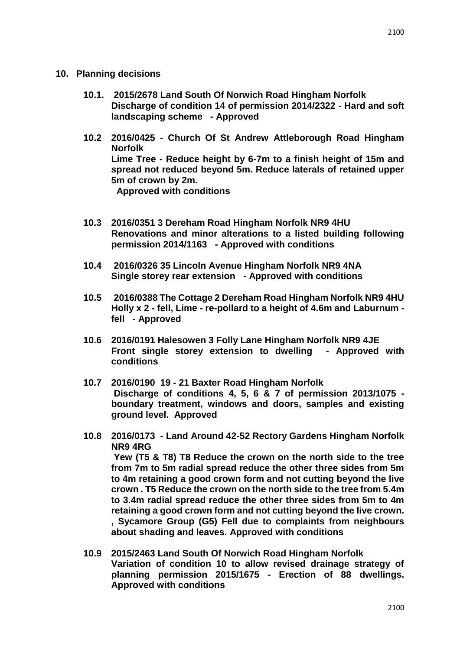- **10. Planning decisions**
	- **10.1. 2015/2678 Land South Of Norwich Road Hingham Norfolk Discharge of condition 14 of permission 2014/2322 - Hard and soft landscaping scheme - Approved**
	- **10.2 2016/0425 - Church Of St Andrew Attleborough Road Hingham Norfolk Lime Tree - Reduce height by 6-7m to a finish height of 15m and spread not reduced beyond 5m. Reduce laterals of retained upper 5m of crown by 2m. Approved with conditions**
	- **10.3 2016/0351 3 Dereham Road Hingham Norfolk NR9 4HU Renovations and minor alterations to a listed building following permission 2014/1163 - Approved with conditions**
	- **10.4 2016/0326 35 Lincoln Avenue Hingham Norfolk NR9 4NA Single storey rear extension - Approved with conditions**
	- **10.5 2016/0388 The Cottage 2 Dereham Road Hingham Norfolk NR9 4HU Holly x 2 - fell, Lime - re-pollard to a height of 4.6m and Laburnum fell - Approved**
	- **10.6 2016/0191 Halesowen 3 Folly Lane Hingham Norfolk NR9 4JE Front single storey extension to dwelling - Approved with conditions**
	- **10.7 2016/0190 19 - 21 Baxter Road Hingham Norfolk Discharge of conditions 4, 5, 6 & 7 of permission 2013/1075 boundary treatment, windows and doors, samples and existing ground level. Approved**
	- **10.8 2016/0173 - Land Around 42-52 Rectory Gardens Hingham Norfolk NR9 4RG Yew (T5 & T8) T8 Reduce the crown on the north side to the tree from 7m to 5m radial spread reduce the other three sides from 5m to 4m retaining a good crown form and not cutting beyond the live crown . T5 Reduce the crown on the north side to the tree from 5.4m to 3.4m radial spread reduce the other three sides from 5m to 4m retaining a good crown form and not cutting beyond the live crown. , Sycamore Group (G5) Fell due to complaints from neighbours about shading and leaves. Approved with conditions**
	- **10.9 2015/2463 Land South Of Norwich Road Hingham Norfolk Variation of condition 10 to allow revised drainage strategy of planning permission 2015/1675 - Erection of 88 dwellings. Approved with conditions**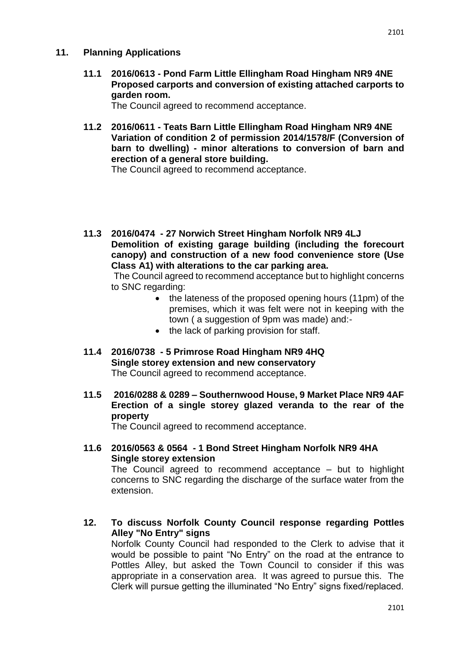#### **11. Planning Applications**

**11.1 2016/0613 - Pond Farm Little Ellingham Road Hingham NR9 4NE Proposed carports and conversion of existing attached carports to garden room.** 

The Council agreed to recommend acceptance.

**11.2 2016/0611 - Teats Barn Little Ellingham Road Hingham NR9 4NE Variation of condition 2 of permission 2014/1578/F (Conversion of barn to dwelling) - minor alterations to conversion of barn and erection of a general store building.** 

The Council agreed to recommend acceptance.

**11.3 2016/0474 - 27 Norwich Street Hingham Norfolk NR9 4LJ Demolition of existing garage building (including the forecourt canopy) and construction of a new food convenience store (Use Class A1) with alterations to the car parking area.** 

The Council agreed to recommend acceptance but to highlight concerns to SNC regarding:

- the lateness of the proposed opening hours (11pm) of the premises, which it was felt were not in keeping with the town ( a suggestion of 9pm was made) and:-
- the lack of parking provision for staff.
- **11.4 2016/0738 - 5 Primrose Road Hingham NR9 4HQ Single storey extension and new conservatory** The Council agreed to recommend acceptance.
- **11.5 2016/0288 & 0289 – Southernwood House, 9 Market Place NR9 4AF Erection of a single storey glazed veranda to the rear of the property**

The Council agreed to recommend acceptance.

**11.6 2016/0563 & 0564 - 1 Bond Street Hingham Norfolk NR9 4HA Single storey extension**

The Council agreed to recommend acceptance – but to highlight concerns to SNC regarding the discharge of the surface water from the extension.

**12. To discuss Norfolk County Council response regarding Pottles Alley "No Entry" signs**

Norfolk County Council had responded to the Clerk to advise that it would be possible to paint "No Entry" on the road at the entrance to Pottles Alley, but asked the Town Council to consider if this was appropriate in a conservation area. It was agreed to pursue this. The Clerk will pursue getting the illuminated "No Entry" signs fixed/replaced.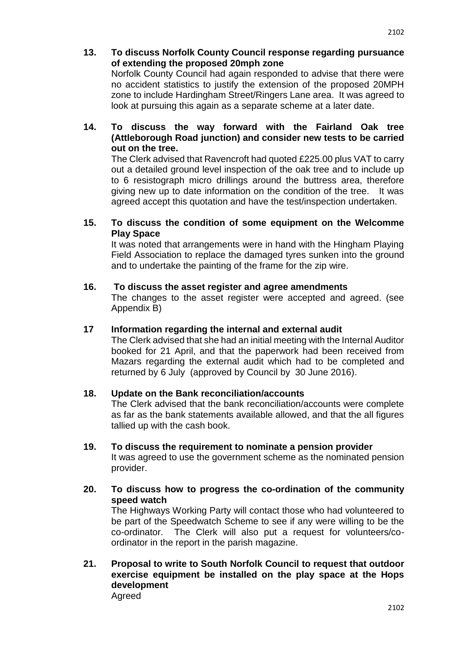**13. To discuss Norfolk County Council response regarding pursuance of extending the proposed 20mph zone**

Norfolk County Council had again responded to advise that there were no accident statistics to justify the extension of the proposed 20MPH zone to include Hardingham Street/Ringers Lane area. It was agreed to look at pursuing this again as a separate scheme at a later date.

#### **14. To discuss the way forward with the Fairland Oak tree (Attleborough Road junction) and consider new tests to be carried out on the tree.**

The Clerk advised that Ravencroft had quoted £225.00 plus VAT to carry out a detailed ground level inspection of the oak tree and to include up to 6 resistograph micro drillings around the buttress area, therefore giving new up to date information on the condition of the tree. It was agreed accept this quotation and have the test/inspection undertaken.

#### **15. To discuss the condition of some equipment on the Welcomme Play Space**

It was noted that arrangements were in hand with the Hingham Playing Field Association to replace the damaged tyres sunken into the ground and to undertake the painting of the frame for the zip wire.

#### **16. To discuss the asset register and agree amendments**

The changes to the asset register were accepted and agreed. (see Appendix B)

#### **17 Information regarding the internal and external audit**

The Clerk advised that she had an initial meeting with the Internal Auditor booked for 21 April, and that the paperwork had been received from Mazars regarding the external audit which had to be completed and returned by 6 July (approved by Council by 30 June 2016).

#### **18. Update on the Bank reconciliation/accounts**

The Clerk advised that the bank reconciliation/accounts were complete as far as the bank statements available allowed, and that the all figures tallied up with the cash book.

# **19. To discuss the requirement to nominate a pension provider**

It was agreed to use the government scheme as the nominated pension provider.

#### **20. To discuss how to progress the co-ordination of the community speed watch**

The Highways Working Party will contact those who had volunteered to be part of the Speedwatch Scheme to see if any were willing to be the co-ordinator. The Clerk will also put a request for volunteers/coordinator in the report in the parish magazine.

**21. Proposal to write to South Norfolk Council to request that outdoor exercise equipment be installed on the play space at the Hops development** Agreed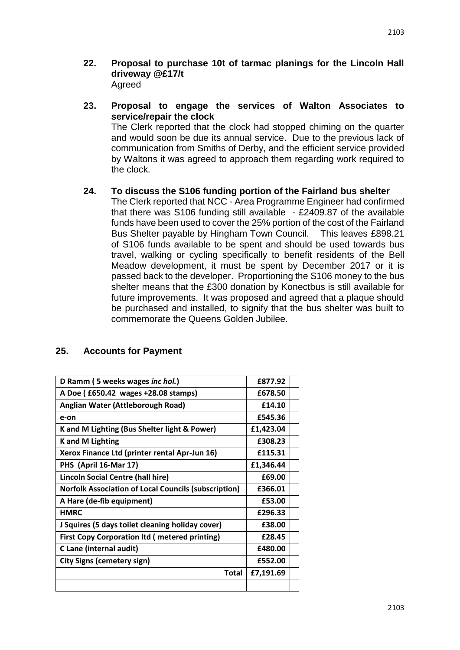- **22. Proposal to purchase 10t of tarmac planings for the Lincoln Hall driveway @£17/t** Agreed
- **23. Proposal to engage the services of Walton Associates to service/repair the clock**

The Clerk reported that the clock had stopped chiming on the quarter and would soon be due its annual service. Due to the previous lack of communication from Smiths of Derby, and the efficient service provided by Waltons it was agreed to approach them regarding work required to the clock.

#### **24. To discuss the S106 funding portion of the Fairland bus shelter**

The Clerk reported that NCC - Area Programme Engineer had confirmed that there was S106 funding still available - £2409.87 of the available funds have been used to cover the 25% portion of the cost of the Fairland Bus Shelter payable by Hingham Town Council. This leaves £898.21 of S106 funds available to be spent and should be used towards bus travel, walking or cycling specifically to benefit residents of the Bell Meadow development, it must be spent by December 2017 or it is passed back to the developer. Proportioning the S106 money to the bus shelter means that the £300 donation by Konectbus is still available for future improvements. It was proposed and agreed that a plaque should be purchased and installed, to signify that the bus shelter was built to commemorate the Queens Golden Jubilee.

#### **25. Accounts for Payment**

| D Ramm (5 weeks wages inc hol.)                             | £877.92   |  |
|-------------------------------------------------------------|-----------|--|
| A Doe (£650.42 wages +28.08 stamps)                         | £678.50   |  |
| Anglian Water (Attleborough Road)                           | £14.10    |  |
| e-on                                                        | £545.36   |  |
| K and M Lighting (Bus Shelter light & Power)                | £1,423.04 |  |
| <b>K</b> and M Lighting                                     | £308.23   |  |
| Xerox Finance Ltd (printer rental Apr-Jun 16)               | £115.31   |  |
| PHS (April 16-Mar 17)                                       | £1,346.44 |  |
| Lincoln Social Centre (hall hire)                           | £69.00    |  |
| <b>Norfolk Association of Local Councils (subscription)</b> | £366.01   |  |
| A Hare (de-fib equipment)                                   | £53.00    |  |
| <b>HMRC</b>                                                 | £296.33   |  |
| J Squires (5 days toilet cleaning holiday cover)            | £38.00    |  |
| <b>First Copy Corporation Itd (metered printing)</b>        | £28.45    |  |
| C Lane (internal audit)                                     | £480.00   |  |
| City Signs (cemetery sign)                                  | £552.00   |  |
| Total                                                       | £7,191.69 |  |
|                                                             |           |  |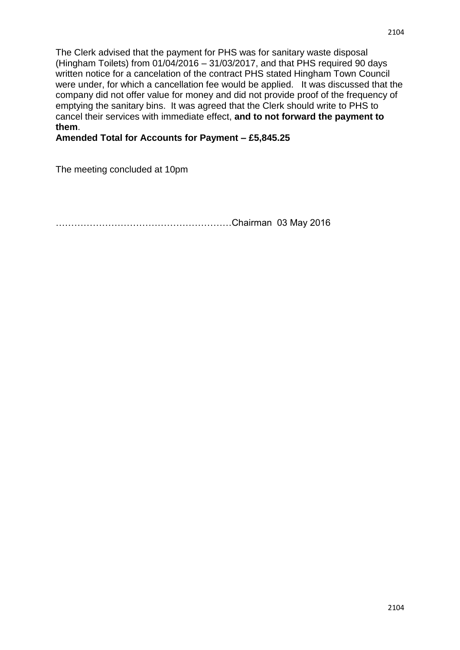The Clerk advised that the payment for PHS was for sanitary waste disposal (Hingham Toilets) from 01/04/2016 – 31/03/2017, and that PHS required 90 days written notice for a cancelation of the contract PHS stated Hingham Town Council were under, for which a cancellation fee would be applied. It was discussed that the company did not offer value for money and did not provide proof of the frequency of emptying the sanitary bins. It was agreed that the Clerk should write to PHS to cancel their services with immediate effect, **and to not forward the payment to them**.

**Amended Total for Accounts for Payment – £5,845.25**

The meeting concluded at 10pm

…………………………………………………Chairman 03 May 2016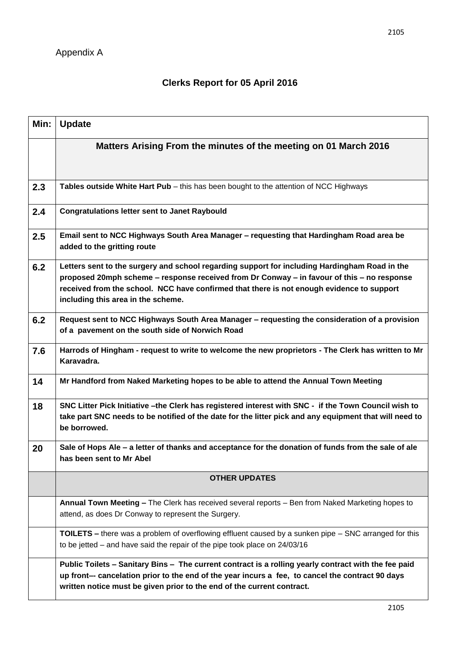## **Clerks Report for 05 April 2016**

| Min: | <b>Update</b>                                                                                                                                                                                                                                                                                                                  |  |  |  |  |  |  |  |  |
|------|--------------------------------------------------------------------------------------------------------------------------------------------------------------------------------------------------------------------------------------------------------------------------------------------------------------------------------|--|--|--|--|--|--|--|--|
|      | Matters Arising From the minutes of the meeting on 01 March 2016                                                                                                                                                                                                                                                               |  |  |  |  |  |  |  |  |
| 2.3  | Tables outside White Hart Pub – this has been bought to the attention of NCC Highways                                                                                                                                                                                                                                          |  |  |  |  |  |  |  |  |
| 2.4  | <b>Congratulations letter sent to Janet Raybould</b>                                                                                                                                                                                                                                                                           |  |  |  |  |  |  |  |  |
| 2.5  | Email sent to NCC Highways South Area Manager – requesting that Hardingham Road area be<br>added to the gritting route                                                                                                                                                                                                         |  |  |  |  |  |  |  |  |
| 6.2  | Letters sent to the surgery and school regarding support for including Hardingham Road in the<br>proposed 20mph scheme - response received from Dr Conway - in favour of this - no response<br>received from the school. NCC have confirmed that there is not enough evidence to support<br>including this area in the scheme. |  |  |  |  |  |  |  |  |
| 6.2  | Request sent to NCC Highways South Area Manager - requesting the consideration of a provision<br>of a pavement on the south side of Norwich Road                                                                                                                                                                               |  |  |  |  |  |  |  |  |
| 7.6  | Harrods of Hingham - request to write to welcome the new proprietors - The Clerk has written to Mr<br>Karavadra.                                                                                                                                                                                                               |  |  |  |  |  |  |  |  |
| 14   | Mr Handford from Naked Marketing hopes to be able to attend the Annual Town Meeting                                                                                                                                                                                                                                            |  |  |  |  |  |  |  |  |
| 18   | SNC Litter Pick Initiative -the Clerk has registered interest with SNC - if the Town Council wish to<br>take part SNC needs to be notified of the date for the litter pick and any equipment that will need to<br>be borrowed.                                                                                                 |  |  |  |  |  |  |  |  |
| 20   | Sale of Hops Ale - a letter of thanks and acceptance for the donation of funds from the sale of ale<br>has been sent to Mr Abel                                                                                                                                                                                                |  |  |  |  |  |  |  |  |
|      | <b>OTHER UPDATES</b>                                                                                                                                                                                                                                                                                                           |  |  |  |  |  |  |  |  |
|      | Annual Town Meeting - The Clerk has received several reports - Ben from Naked Marketing hopes to<br>attend, as does Dr Conway to represent the Surgery.                                                                                                                                                                        |  |  |  |  |  |  |  |  |
|      | <b>TOILETS</b> – there was a problem of overflowing effluent caused by a sunken pipe – SNC arranged for this<br>to be jetted – and have said the repair of the pipe took place on 24/03/16                                                                                                                                     |  |  |  |  |  |  |  |  |
|      | Public Toilets - Sanitary Bins - The current contract is a rolling yearly contract with the fee paid<br>up front--- cancelation prior to the end of the year incurs a fee, to cancel the contract 90 days<br>written notice must be given prior to the end of the current contract.                                            |  |  |  |  |  |  |  |  |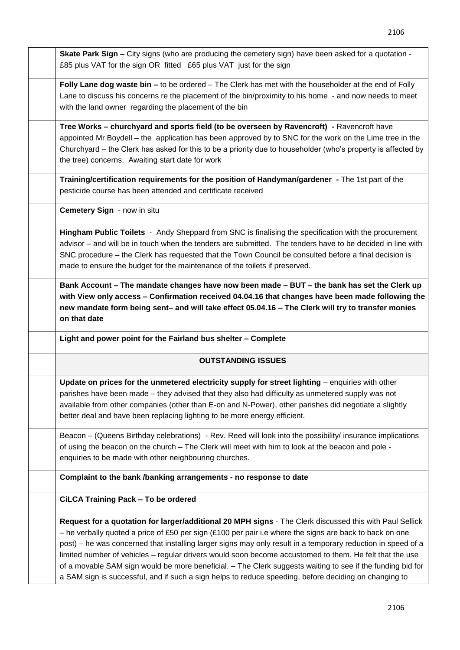| Skate Park Sign – City signs (who are producing the cemetery sign) have been asked for a quotation -<br>£85 plus VAT for the sign OR fitted £65 plus VAT just for the sign |
|----------------------------------------------------------------------------------------------------------------------------------------------------------------------------|
| Folly Lane dog waste bin - to be ordered - The Clerk has met with the householder at the end of Folly                                                                      |
| Lane to discuss his concerns re the placement of the bin/proximity to his home - and now needs to meet                                                                     |
| with the land owner regarding the placement of the bin                                                                                                                     |
| Tree Works - churchyard and sports field (to be overseen by Ravencroft) - Ravencroft have                                                                                  |
| appointed Mr Boydell – the application has been approved by to SNC for the work on the Lime tree in the                                                                    |
| Churchyard – the Clerk has asked for this to be a priority due to householder (who's property is affected by                                                               |
| the tree) concerns. Awaiting start date for work                                                                                                                           |
| Training/certification requirements for the position of Handyman/gardener - The 1st part of the                                                                            |
| pesticide course has been attended and certificate received                                                                                                                |
| Cemetery Sign - now in situ                                                                                                                                                |
| Hingham Public Toilets - Andy Sheppard from SNC is finalising the specification with the procurement                                                                       |
| advisor – and will be in touch when the tenders are submitted. The tenders have to be decided in line with                                                                 |
| SNC procedure - the Clerk has requested that the Town Council be consulted before a final decision is                                                                      |
| made to ensure the budget for the maintenance of the toilets if preserved.                                                                                                 |
| Bank Account – The mandate changes have now been made – BUT – the bank has set the Clerk up                                                                                |
| with View only access - Confirmation received 04.04.16 that changes have been made following the                                                                           |
| new mandate form being sent- and will take effect 05.04.16 - The Clerk will try to transfer monies                                                                         |
| on that date                                                                                                                                                               |
| Light and power point for the Fairland bus shelter - Complete                                                                                                              |
| <b>OUTSTANDING ISSUES</b>                                                                                                                                                  |
| Update on prices for the unmetered electricity supply for street lighting - enquiries with other                                                                           |
| parishes have been made – they advised that they also had difficulty as unmetered supply was not                                                                           |
| available from other companies (other than E-on and N-Power), other parishes did negotiate a slightly                                                                      |
| better deal and have been replacing lighting to be more energy efficient.                                                                                                  |
| Beacon - (Queens Birthday celebrations) - Rev. Reed will look into the possibility/ insurance implications                                                                 |
| of using the beacon on the church – The Clerk will meet with him to look at the beacon and pole -                                                                          |
| enquiries to be made with other neighbouring churches.                                                                                                                     |
| Complaint to the bank /banking arrangements - no response to date                                                                                                          |
| CiLCA Training Pack - To be ordered                                                                                                                                        |
| Request for a quotation for larger/additional 20 MPH signs - The Clerk discussed this with Paul Sellick                                                                    |
| - he verbally quoted a price of £50 per sign (£100 per pair i.e where the signs are back to back on one                                                                    |
| post) – he was concerned that installing larger signs may only result in a temporary reduction in speed of a                                                               |
| limited number of vehicles - regular drivers would soon become accustomed to them. He felt that the use                                                                    |
| of a movable SAM sign would be more beneficial. – The Clerk suggests waiting to see if the funding bid for                                                                 |
| a SAM sign is successful, and if such a sign helps to reduce speeding, before deciding on changing to                                                                      |

2106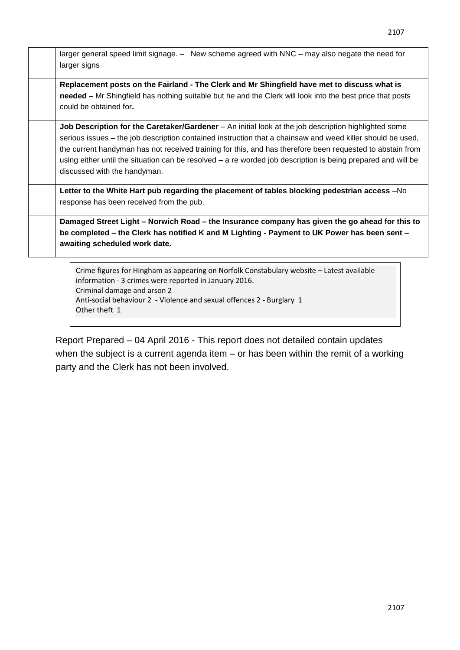| larger general speed limit signage. $-$ New scheme agreed with NNC $-$ may also negate the need for<br>larger signs                                                                                                                                                                                                                                                                                                                                                             |
|---------------------------------------------------------------------------------------------------------------------------------------------------------------------------------------------------------------------------------------------------------------------------------------------------------------------------------------------------------------------------------------------------------------------------------------------------------------------------------|
| Replacement posts on the Fairland - The Clerk and Mr Shingfield have met to discuss what is<br>needed – Mr Shingfield has nothing suitable but he and the Clerk will look into the best price that posts<br>could be obtained for.                                                                                                                                                                                                                                              |
| Job Description for the Caretaker/Gardener – An initial look at the job description highlighted some<br>serious issues - the job description contained instruction that a chainsaw and weed killer should be used,<br>the current handyman has not received training for this, and has therefore been requested to abstain from<br>using either until the situation can be resolved – a re worded job description is being prepared and will be<br>discussed with the handyman. |
| Letter to the White Hart pub regarding the placement of tables blocking pedestrian access -No<br>response has been received from the pub.                                                                                                                                                                                                                                                                                                                                       |
| Damaged Street Light – Norwich Road – the Insurance company has given the go ahead for this to<br>be completed – the Clerk has notified K and M Lighting - Payment to UK Power has been sent –<br>awaiting scheduled work date.                                                                                                                                                                                                                                                 |

Crime figures for Hingham as appearing on Norfolk Constabulary website – Latest available information - 3 crimes were reported in January 2016. Criminal damage and arson 2 Anti-social behaviour 2 - Violence and sexual offences 2 - Burglary 1 Other theft 1

Report Prepared – 04 April 2016 - This report does not detailed contain updates when the subject is a current agenda item – or has been within the remit of a working party and the Clerk has not been involved.